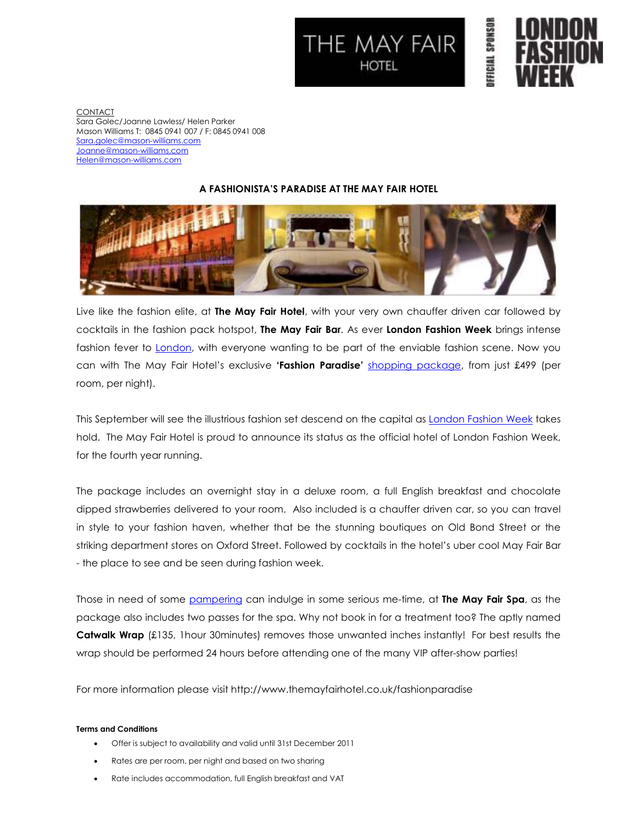



**FFICIAL SPONSOR** 

CONTACT Sara Golec/Joanne Lawless/ Helen Parker Mason Williams T: 0845 0941 007 / F: 0845 0941 008 Sara.golec@mason-williams.com Joanne@mason-williams.com Helen@mason-williams.com

## **A FASHIONISTA'S PARADISE AT THE MAY FAIR HOTEL**



Live like the fashion elite, at **The May Fair Hotel**, with your very own chauffer driven car followed by cocktails in the fashion pack hotspot, **The May Fair Bar**. As ever **London Fashion Week** brings intense fashion fever to London, with everyone wanting to be part of the enviable fashion scene. Now you can with The May Fair Hotel's exclusive **'Fashion Paradise'** shopping package, from just £499 (per room, per night).

This September will see the illustrious fashion set descend on the capital as London Fashion Week takes hold. The May Fair Hotel is proud to announce its status as the official hotel of London Fashion Week, for the fourth year running.

The package includes an overnight stay in a deluxe room, a full English breakfast and chocolate dipped strawberries delivered to your room. Also included is a chauffer driven car, so you can travel in style to your fashion haven, whether that be the stunning boutiques on Old Bond Street or the striking department stores on Oxford Street. Followed by cocktails in the hotel's uber cool May Fair Bar - the place to see and be seen during fashion week.

Those in need of some pampering can indulge in some serious me-time, at **The May Fair Spa**, as the package also includes two passes for the spa. Why not book in for a treatment too? The aptly named **Catwalk Wrap** (£135, 1hour 30minutes) removes those unwanted inches instantly! For best results the wrap should be performed 24 hours before attending one of the many VIP after-show parties!

For more information please visit http://www.themayfairhotel.co.uk/fashionparadise

## **Terms and Conditions**

- Offer is subject to availability and valid until 31st December 2011
- Rates are per room, per night and based on two sharing
- Rate includes accommodation, full English breakfast and VAT